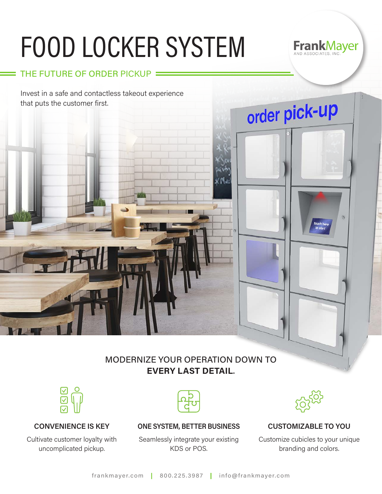# FOOD LOCKER SYSTEM

#### THE FUTURE OF ORDER PICKUP

Invest in a safe and contactless takeout experience that puts the customer first.

### MODERNIZE YOUR OPERATION DOWN TO **EVERY LAST DETAIL**.



#### **CONVENIENCE IS KEY**

Cultivate customer loyalty with uncomplicated pickup.



**ONE SYSTEM, BETTER BUSINESS CUSTOMIZABLE TO YOU**

Seamlessly integrate your existing KDS or POS.



**FrankMayer** 

 $\mathfrak{g}$ 

order pick-up

Customize cubicles to your unique branding and colors.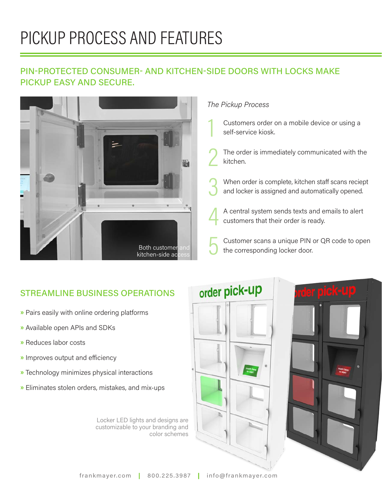## PICKUP PROCESS AND FEATURES

#### PIN-PROTECTED CONSUMER- AND KITCHEN-SIDE DOORS WITH LOCKS MAKE PICKUP EASY AND SECURE.



#### *The Pickup Process*

- Customers order on a mobile device or using a<br>self-service kiosk.
- The order is immediately communicated with the<br>kitchen.
- When order is complete, kitchen staff scans reciept and locker is assigned and automatically opened.
- A central system sends texts and emails to alert<br>customers that their order is ready.
- Customer scans a unique PIN or QR code to open the corresponding locker door.

#### STREAMLINE BUSINESS OPERATIONS

- **»** Pairs easily with online ordering platforms
- **»** Available open APIs and SDKs
- **»** Reduces labor costs
- **»** Improves output and efficiency
- **»** Technology minimizes physical interactions
- **»** Eliminates stolen orders, mistakes, and mix-ups

Locker LED lights and designs are customizable to your branding and color schemes